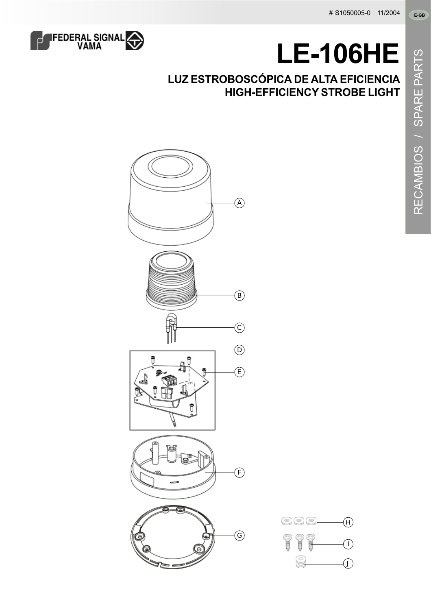

## **LE-106HE**

## **LUZ ESTROBOSCÓPICA DE ALTA EFICIENCIA HIGH-EFFICIENCY STROBE LIGHT**